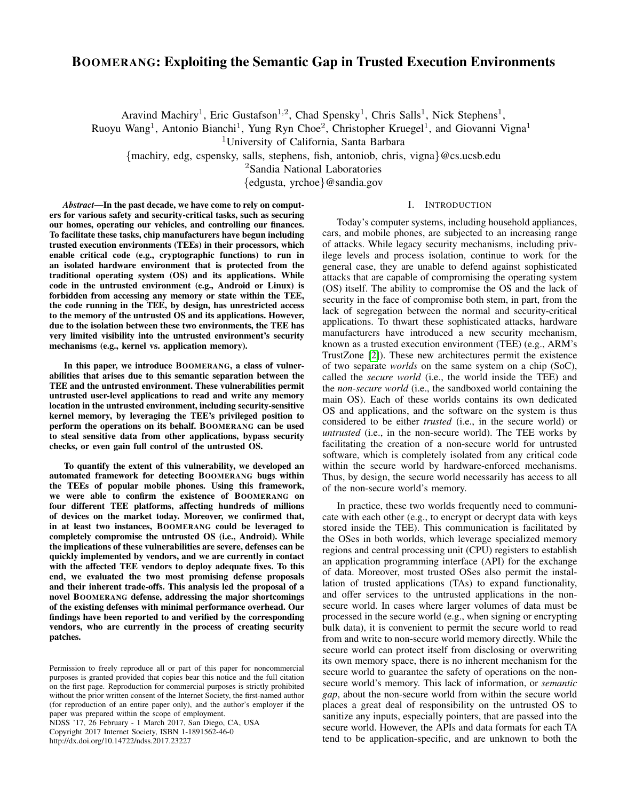# BOOMERANG: Exploiting the Semantic Gap in Trusted Execution Environments

Aravind Machiry<sup>1</sup>, Eric Gustafson<sup>1,2</sup>, Chad Spensky<sup>1</sup>, Chris Salls<sup>1</sup>, Nick Stephens<sup>1</sup>,

Ruoyu Wang<sup>1</sup>, Antonio Bianchi<sup>1</sup>, Yung Ryn Choe<sup>2</sup>, Christopher Kruegel<sup>1</sup>, and Giovanni Vigna<sup>1</sup>

<sup>1</sup>University of California, Santa Barbara

{machiry, edg, cspensky, salls, stephens, fish, antoniob, chris, vigna}@cs.ucsb.edu

<sup>2</sup>Sandia National Laboratories

{edgusta, yrchoe}@sandia.gov

## I. INTRODUCTION

*Abstract*—In the past decade, we have come to rely on computers for various safety and security-critical tasks, such as securing our homes, operating our vehicles, and controlling our finances. To facilitate these tasks, chip manufacturers have begun including trusted execution environments (TEEs) in their processors, which enable critical code (e.g., cryptographic functions) to run in an isolated hardware environment that is protected from the traditional operating system (OS) and its applications. While code in the untrusted environment (e.g., Android or Linux) is forbidden from accessing any memory or state within the TEE, the code running in the TEE, by design, has unrestricted access to the memory of the untrusted OS and its applications. However, due to the isolation between these two environments, the TEE has very limited visibility into the untrusted environment's security mechanisms (e.g., kernel vs. application memory).

In this paper, we introduce BOOMERANG, a class of vulnerabilities that arises due to this semantic separation between the TEE and the untrusted environment. These vulnerabilities permit untrusted user-level applications to read and write any memory location in the untrusted environment, including security-sensitive kernel memory, by leveraging the TEE's privileged position to perform the operations on its behalf. BOOMERANG can be used to steal sensitive data from other applications, bypass security checks, or even gain full control of the untrusted OS.

To quantify the extent of this vulnerability, we developed an automated framework for detecting BOOMERANG bugs within the TEEs of popular mobile phones. Using this framework, we were able to confirm the existence of BOOMERANG on four different TEE platforms, affecting hundreds of millions of devices on the market today. Moreover, we confirmed that, in at least two instances, BOOMERANG could be leveraged to completely compromise the untrusted OS (i.e., Android). While the implications of these vulnerabilities are severe, defenses can be quickly implemented by vendors, and we are currently in contact with the affected TEE vendors to deploy adequate fixes. To this end, we evaluated the two most promising defense proposals and their inherent trade-offs. This analysis led the proposal of a novel BOOMERANG defense, addressing the major shortcomings of the existing defenses with minimal performance overhead. Our findings have been reported to and verified by the corresponding vendors, who are currently in the process of creating security patches.

NDSS '17, 26 February - 1 March 2017, San Diego, CA, USA Copyright 2017 Internet Society, ISBN 1-1891562-46-0 http://dx.doi.org/10.14722/ndss.2017.23227

Today's computer systems, including household appliances, cars, and mobile phones, are subjected to an increasing range of attacks. While legacy security mechanisms, including privilege levels and process isolation, continue to work for the general case, they are unable to defend against sophisticated attacks that are capable of compromising the operating system (OS) itself. The ability to compromise the OS and the lack of security in the face of compromise both stem, in part, from the lack of segregation between the normal and security-critical applications. To thwart these sophisticated attacks, hardware manufacturers have introduced a new security mechanism, known as a trusted execution environment (TEE) (e.g., ARM's TrustZone [\[2\]](#page-13-0)). These new architectures permit the existence of two separate *worlds* on the same system on a chip (SoC), called the *secure world* (i.e., the world inside the TEE) and the *non-secure world* (i.e., the sandboxed world containing the main OS). Each of these worlds contains its own dedicated OS and applications, and the software on the system is thus considered to be either *trusted* (i.e., in the secure world) or *untrusted* (i.e., in the non-secure world). The TEE works by facilitating the creation of a non-secure world for untrusted software, which is completely isolated from any critical code within the secure world by hardware-enforced mechanisms. Thus, by design, the secure world necessarily has access to all of the non-secure world's memory.

In practice, these two worlds frequently need to communicate with each other (e.g., to encrypt or decrypt data with keys stored inside the TEE). This communication is facilitated by the OSes in both worlds, which leverage specialized memory regions and central processing unit (CPU) registers to establish an application programming interface (API) for the exchange of data. Moreover, most trusted OSes also permit the installation of trusted applications (TAs) to expand functionality, and offer services to the untrusted applications in the nonsecure world. In cases where larger volumes of data must be processed in the secure world (e.g., when signing or encrypting bulk data), it is convenient to permit the secure world to read from and write to non-secure world memory directly. While the secure world can protect itself from disclosing or overwriting its own memory space, there is no inherent mechanism for the secure world to guarantee the safety of operations on the nonsecure world's memory. This lack of information, or *semantic gap*, about the non-secure world from within the secure world places a great deal of responsibility on the untrusted OS to sanitize any inputs, especially pointers, that are passed into the secure world. However, the APIs and data formats for each TA tend to be application-specific, and are unknown to both the

Permission to freely reproduce all or part of this paper for noncommercial purposes is granted provided that copies bear this notice and the full citation on the first page. Reproduction for commercial purposes is strictly prohibited without the prior written consent of the Internet Society, the first-named author (for reproduction of an entire paper only), and the author's employer if the paper was prepared within the scope of employment.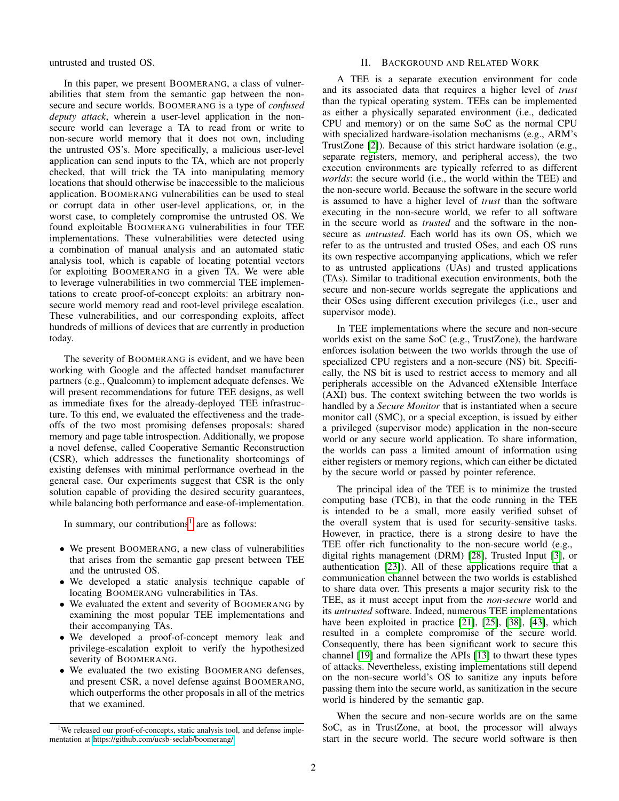untrusted and trusted OS.

In this paper, we present BOOMERANG, a class of vulnerabilities that stem from the semantic gap between the nonsecure and secure worlds. BOOMERANG is a type of *confused deputy attack*, wherein a user-level application in the nonsecure world can leverage a TA to read from or write to non-secure world memory that it does not own, including the untrusted OS's. More specifically, a malicious user-level application can send inputs to the TA, which are not properly checked, that will trick the TA into manipulating memory locations that should otherwise be inaccessible to the malicious application. BOOMERANG vulnerabilities can be used to steal or corrupt data in other user-level applications, or, in the worst case, to completely compromise the untrusted OS. We found exploitable BOOMERANG vulnerabilities in four TEE implementations. These vulnerabilities were detected using a combination of manual analysis and an automated static analysis tool, which is capable of locating potential vectors for exploiting BOOMERANG in a given TA. We were able to leverage vulnerabilities in two commercial TEE implementations to create proof-of-concept exploits: an arbitrary nonsecure world memory read and root-level privilege escalation. These vulnerabilities, and our corresponding exploits, affect hundreds of millions of devices that are currently in production today.

The severity of BOOMERANG is evident, and we have been working with Google and the affected handset manufacturer partners (e.g., Qualcomm) to implement adequate defenses. We will present recommendations for future TEE designs, as well as immediate fixes for the already-deployed TEE infrastructure. To this end, we evaluated the effectiveness and the tradeoffs of the two most promising defenses proposals: shared memory and page table introspection. Additionally, we propose a novel defense, called Cooperative Semantic Reconstruction (CSR), which addresses the functionality shortcomings of existing defenses with minimal performance overhead in the general case. Our experiments suggest that CSR is the only solution capable of providing the desired security guarantees, while balancing both performance and ease-of-implementation.

In summary, our contributions<sup>[1](#page-1-0)</sup> are as follows:

- We present BOOMERANG, a new class of vulnerabilities that arises from the semantic gap present between TEE and the untrusted OS.
- We developed a static analysis technique capable of locating BOOMERANG vulnerabilities in TAs.
- We evaluated the extent and severity of BOOMERANG by examining the most popular TEE implementations and their accompanying TAs.
- We developed a proof-of-concept memory leak and privilege-escalation exploit to verify the hypothesized severity of BOOMERANG.
- We evaluated the two existing BOOMERANG defenses, and present CSR, a novel defense against BOOMERANG, which outperforms the other proposals in all of the metrics that we examined.

## II. BACKGROUND AND RELATED WORK

A TEE is a separate execution environment for code and its associated data that requires a higher level of *trust* than the typical operating system. TEEs can be implemented as either a physically separated environment (i.e., dedicated CPU and memory) or on the same SoC as the normal CPU with specialized hardware-isolation mechanisms (e.g., ARM's TrustZone [\[2\]](#page-13-0)). Because of this strict hardware isolation (e.g., separate registers, memory, and peripheral access), the two execution environments are typically referred to as different *worlds*: the secure world (i.e., the world within the TEE) and the non-secure world. Because the software in the secure world is assumed to have a higher level of *trust* than the software executing in the non-secure world, we refer to all software in the secure world as *trusted* and the software in the nonsecure as *untrusted*. Each world has its own OS, which we refer to as the untrusted and trusted OSes, and each OS runs its own respective accompanying applications, which we refer to as untrusted applications (UAs) and trusted applications (TAs). Similar to traditional execution environments, both the secure and non-secure worlds segregate the applications and their OSes using different execution privileges (i.e., user and supervisor mode).

In TEE implementations where the secure and non-secure worlds exist on the same SoC (e.g., TrustZone), the hardware enforces isolation between the two worlds through the use of specialized CPU registers and a non-secure (NS) bit. Specifically, the NS bit is used to restrict access to memory and all peripherals accessible on the Advanced eXtensible Interface (AXI) bus. The context switching between the two worlds is handled by a *Secure Monitor* that is instantiated when a secure monitor call (SMC), or a special exception, is issued by either a privileged (supervisor mode) application in the non-secure world or any secure world application. To share information, the worlds can pass a limited amount of information using either registers or memory regions, which can either be dictated by the secure world or passed by pointer reference.

The principal idea of the TEE is to minimize the trusted computing base (TCB), in that the code running in the TEE is intended to be a small, more easily verified subset of the overall system that is used for security-sensitive tasks. However, in practice, there is a strong desire to have the TEE offer rich functionality to the non-secure world (e.g., digital rights management (DRM) [\[28\]](#page-14-0), Trusted Input [\[3\]](#page-13-1), or authentication [\[23\]](#page-14-1)). All of these applications require that a communication channel between the two worlds is established to share data over. This presents a major security risk to the TEE, as it must accept input from the *non-secure* world and its *untrusted* software. Indeed, numerous TEE implementations have been exploited in practice [\[21\]](#page-14-2), [\[25\]](#page-14-3), [\[38\]](#page-14-4), [\[43\]](#page-14-5), which resulted in a complete compromise of the secure world. Consequently, there has been significant work to secure this channel [\[19\]](#page-14-6) and formalize the APIs [\[13\]](#page-14-7) to thwart these types of attacks. Nevertheless, existing implementations still depend on the non-secure world's OS to sanitize any inputs before passing them into the secure world, as sanitization in the secure world is hindered by the semantic gap.

When the secure and non-secure worlds are on the same SoC, as in TrustZone, at boot, the processor will always start in the secure world. The secure world software is then

<span id="page-1-0"></span><sup>&</sup>lt;sup>1</sup>We released our proof-of-concepts, static analysis tool, and defense implementation at https://github.[com/ucsb-seclab/boomerang/](https://github.com/ucsb-seclab/boomerang/)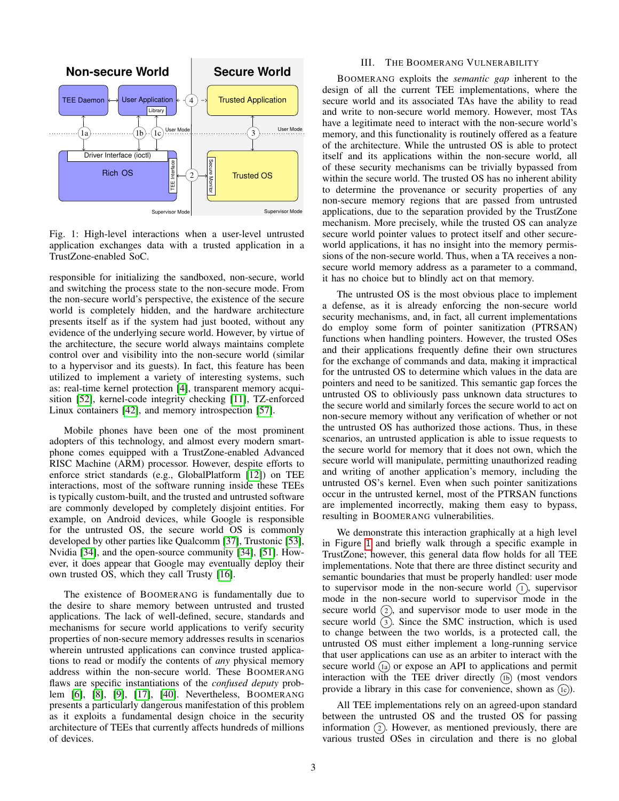<span id="page-2-0"></span>

Fig. 1: High-level interactions when a user-level untrusted application exchanges data with a trusted application in a TrustZone-enabled SoC.

responsible for initializing the sandboxed, non-secure, world and switching the process state to the non-secure mode. From the non-secure world's perspective, the existence of the secure world is completely hidden, and the hardware architecture presents itself as if the system had just booted, without any evidence of the underlying secure world. However, by virtue of the architecture, the secure world always maintains complete control over and visibility into the non-secure world (similar to a hypervisor and its guests). In fact, this feature has been utilized to implement a variety of interesting systems, such as: real-time kernel protection [\[4\]](#page-13-2), transparent memory acquisition [\[52\]](#page-14-8), kernel-code integrity checking [\[11\]](#page-14-9), TZ-enforced Linux containers [\[42\]](#page-14-10), and memory introspection [\[57\]](#page-14-11).

Mobile phones have been one of the most prominent adopters of this technology, and almost every modern smartphone comes equipped with a TrustZone-enabled Advanced RISC Machine (ARM) processor. However, despite efforts to enforce strict standards (e.g., GlobalPlatform [\[12\]](#page-14-12)) on TEE interactions, most of the software running inside these TEEs is typically custom-built, and the trusted and untrusted software are commonly developed by completely disjoint entities. For example, on Android devices, while Google is responsible for the untrusted OS, the secure world OS is commonly developed by other parties like Qualcomm [\[37\]](#page-14-13), Trustonic [\[53\]](#page-14-14), Nvidia [\[34\]](#page-14-15), and the open-source community [\[34\]](#page-14-15), [\[51\]](#page-14-16). However, it does appear that Google may eventually deploy their own trusted OS, which they call Trusty [\[16\]](#page-14-17).

The existence of BOOMERANG is fundamentally due to the desire to share memory between untrusted and trusted applications. The lack of well-defined, secure, standards and mechanisms for secure world applications to verify security properties of non-secure memory addresses results in scenarios wherein untrusted applications can convince trusted applications to read or modify the contents of *any* physical memory address within the non-secure world. These BOOMERANG flaws are specific instantiations of the *confused deputy* problem [\[6\]](#page-14-18), [\[8\]](#page-14-19), [\[9\]](#page-14-20), [\[17\]](#page-14-21), [\[40\]](#page-14-22). Nevertheless, BOOMERANG presents a particularly dangerous manifestation of this problem as it exploits a fundamental design choice in the security architecture of TEEs that currently affects hundreds of millions of devices.

## III. THE BOOMERANG VULNERABILITY

BOOMERANG exploits the *semantic gap* inherent to the design of all the current TEE implementations, where the secure world and its associated TAs have the ability to read and write to non-secure world memory. However, most TAs have a legitimate need to interact with the non-secure world's memory, and this functionality is routinely offered as a feature of the architecture. While the untrusted OS is able to protect itself and its applications within the non-secure world, all of these security mechanisms can be trivially bypassed from within the secure world. The trusted OS has no inherent ability to determine the provenance or security properties of any non-secure memory regions that are passed from untrusted applications, due to the separation provided by the TrustZone mechanism. More precisely, while the trusted OS can analyze secure world pointer values to protect itself and other secureworld applications, it has no insight into the memory permissions of the non-secure world. Thus, when a TA receives a nonsecure world memory address as a parameter to a command, it has no choice but to blindly act on that memory.

The untrusted OS is the most obvious place to implement a defense, as it is already enforcing the non-secure world security mechanisms, and, in fact, all current implementations do employ some form of pointer sanitization (PTRSAN) functions when handling pointers. However, the trusted OSes and their applications frequently define their own structures for the exchange of commands and data, making it impractical for the untrusted OS to determine which values in the data are pointers and need to be sanitized. This semantic gap forces the untrusted OS to obliviously pass unknown data structures to the secure world and similarly forces the secure world to act on non-secure memory without any verification of whether or not the untrusted OS has authorized those actions. Thus, in these scenarios, an untrusted application is able to issue requests to the secure world for memory that it does not own, which the secure world will manipulate, permitting unauthorized reading and writing of another application's memory, including the untrusted OS's kernel. Even when such pointer sanitizations occur in the untrusted kernel, most of the PTRSAN functions are implemented incorrectly, making them easy to bypass, resulting in BOOMERANG vulnerabilities.

We demonstrate this interaction graphically at a high level in Figure [1](#page-2-0) and briefly walk through a specific example in TrustZone; however, this general data flow holds for all TEE implementations. Note that there are three distinct security and semantic boundaries that must be properly handled: user mode to supervisor mode in the non-secure world  $(1)$ , supervisor mode in the non-secure world to supervisor mode in the secure world  $(2)$ , and supervisor mode to user mode in the secure world  $(3)$ . Since the SMC instruction, which is used to change between the two worlds, is a protected call, the untrusted OS must either implement a long-running service that user applications can use as an arbiter to interact with the secure world  $\left(\overline{\mathbf{a}}\right)$  or expose an API to applications and permit interaction with the TEE driver directly  $(h)$  (most vendors provide a library in this case for convenience, shown as  $(1c)$ .

All TEE implementations rely on an agreed-upon standard between the untrusted OS and the trusted OS for passing information  $(2)$ . However, as mentioned previously, there are various trusted OSes in circulation and there is no global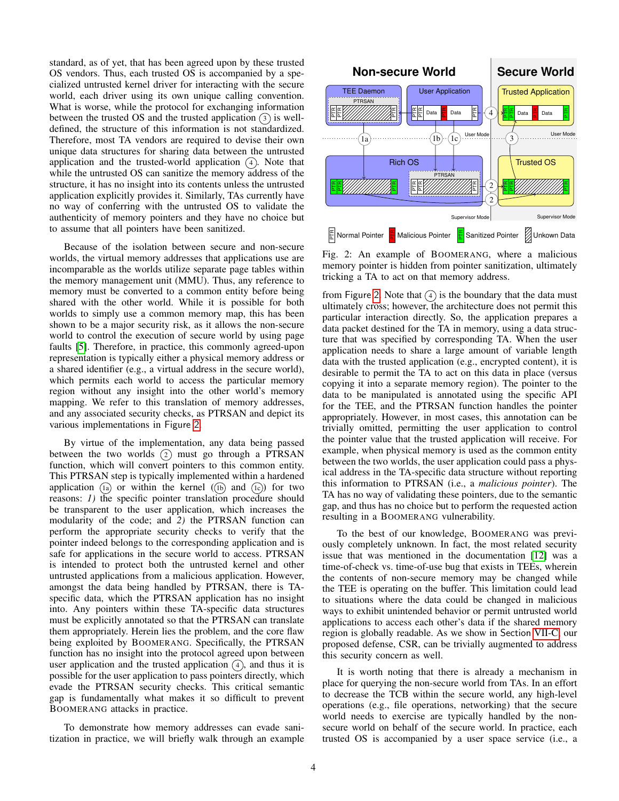standard, as of yet, that has been agreed upon by these trusted OS vendors. Thus, each trusted OS is accompanied by a specialized untrusted kernel driver for interacting with the secure world, each driver using its own unique calling convention. What is worse, while the protocol for exchanging information between the trusted OS and the trusted application  $\alpha$  is welldefined, the structure of this information is not standardized. Therefore, most TA vendors are required to devise their own unique data structures for sharing data between the untrusted application and the trusted-world application  $(4)$ . Note that while the untrusted OS can sanitize the memory address of the structure, it has no insight into its contents unless the untrusted application explicitly provides it. Similarly, TAs currently have no way of conferring with the untrusted OS to validate the authenticity of memory pointers and they have no choice but to assume that all pointers have been sanitized.

Because of the isolation between secure and non-secure worlds, the virtual memory addresses that applications use are incomparable as the worlds utilize separate page tables within the memory management unit (MMU). Thus, any reference to memory must be converted to a common entity before being shared with the other world. While it is possible for both worlds to simply use a common memory map, this has been shown to be a major security risk, as it allows the non-secure world to control the execution of secure world by using page faults [\[5\]](#page-14-23). Therefore, in practice, this commonly agreed-upon representation is typically either a physical memory address or a shared identifier (e.g., a virtual address in the secure world), which permits each world to access the particular memory region without any insight into the other world's memory mapping. We refer to this translation of memory addresses, and any associated security checks, as PTRSAN and depict its various implementations in Figure [2](#page-3-0).

By virtue of the implementation, any data being passed between the two worlds  $(2)$  must go through a PTRSAN function, which will convert pointers to this common entity. This PTRSAN step is typically implemented within a hardened application  $(1a)$  or within the kernel  $((1b)$  and  $(1c))$  for two reasons: *1)* the specific pointer translation procedure should be transparent to the user application, which increases the modularity of the code; and *2)* the PTRSAN function can perform the appropriate security checks to verify that the pointer indeed belongs to the corresponding application and is safe for applications in the secure world to access. PTRSAN is intended to protect both the untrusted kernel and other untrusted applications from a malicious application. However, amongst the data being handled by PTRSAN, there is TAspecific data, which the PTRSAN application has no insight into. Any pointers within these TA-specific data structures must be explicitly annotated so that the PTRSAN can translate them appropriately. Herein lies the problem, and the core flaw being exploited by BOOMERANG. Specifically, the PTRSAN function has no insight into the protocol agreed upon between user application and the trusted application  $\left(4\right)$ , and thus it is possible for the user application to pass pointers directly, which evade the PTRSAN security checks. This critical semantic gap is fundamentally what makes it so difficult to prevent BOOMERANG attacks in practice.

To demonstrate how memory addresses can evade sanitization in practice, we will briefly walk through an example

<span id="page-3-0"></span>

Fig. 2: An example of BOOMERANG, where a malicious memory pointer is hidden from pointer sanitization, ultimately tricking a TA to act on that memory address.

from Figure [2](#page-3-0). Note that  $\overline{4}$  is the boundary that the data must ultimately cross; however, the architecture does not permit this particular interaction directly. So, the application prepares a data packet destined for the TA in memory, using a data structure that was specified by corresponding TA. When the user application needs to share a large amount of variable length data with the trusted application (e.g., encrypted content), it is desirable to permit the TA to act on this data in place (versus copying it into a separate memory region). The pointer to the data to be manipulated is annotated using the specific API for the TEE, and the PTRSAN function handles the pointer appropriately. However, in most cases, this annotation can be trivially omitted, permitting the user application to control the pointer value that the trusted application will receive. For example, when physical memory is used as the common entity between the two worlds, the user application could pass a physical address in the TA-specific data structure without reporting this information to PTRSAN (i.e., a *malicious pointer*). The TA has no way of validating these pointers, due to the semantic gap, and thus has no choice but to perform the requested action resulting in a BOOMERANG vulnerability.

To the best of our knowledge, BOOMERANG was previously completely unknown. In fact, the most related security issue that was mentioned in the documentation [\[12\]](#page-14-12) was a time-of-check vs. time-of-use bug that exists in TEEs, wherein the contents of non-secure memory may be changed while the TEE is operating on the buffer. This limitation could lead to situations where the data could be changed in malicious ways to exhibit unintended behavior or permit untrusted world applications to access each other's data if the shared memory region is globally readable. As we show in Section [VII-C,](#page-11-0) our proposed defense, CSR, can be trivially augmented to address this security concern as well.

It is worth noting that there is already a mechanism in place for querying the non-secure world from TAs. In an effort to decrease the TCB within the secure world, any high-level operations (e.g., file operations, networking) that the secure world needs to exercise are typically handled by the nonsecure world on behalf of the secure world. In practice, each trusted OS is accompanied by a user space service (i.e., a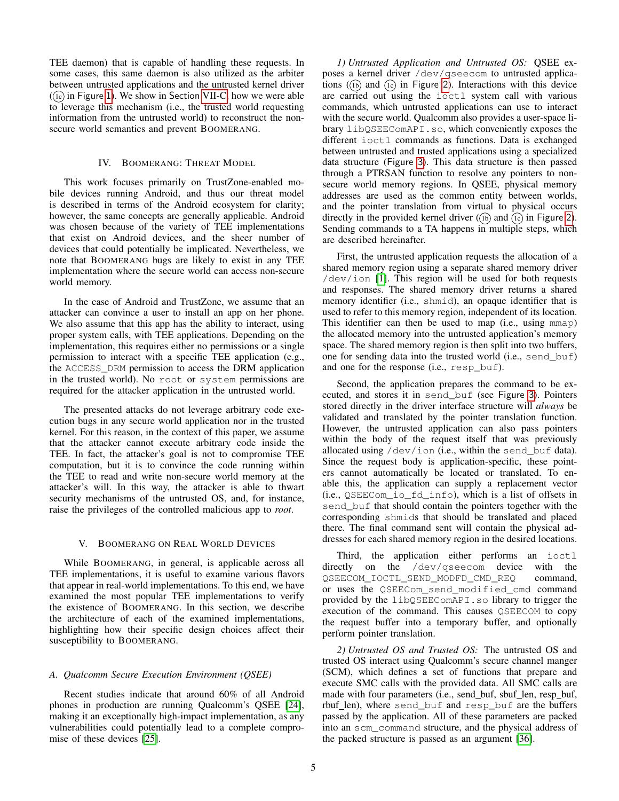TEE daemon) that is capable of handling these requests. In some cases, this same daemon is also utilized as the arbiter between untrusted applications and the untrusted kernel driver  $($ i>c) in Figure [1](#page-2-0)). We show in Section [VII-C,](#page-11-0) how we were able to leverage this mechanism (i.e., the trusted world requesting information from the untrusted world) to reconstruct the nonsecure world semantics and prevent BOOMERANG.

## IV. BOOMERANG: THREAT MODEL

This work focuses primarily on TrustZone-enabled mobile devices running Android, and thus our threat model is described in terms of the Android ecosystem for clarity; however, the same concepts are generally applicable. Android was chosen because of the variety of TEE implementations that exist on Android devices, and the sheer number of devices that could potentially be implicated. Nevertheless, we note that BOOMERANG bugs are likely to exist in any TEE implementation where the secure world can access non-secure world memory.

In the case of Android and TrustZone, we assume that an attacker can convince a user to install an app on her phone. We also assume that this app has the ability to interact, using proper system calls, with TEE applications. Depending on the implementation, this requires either no permissions or a single permission to interact with a specific TEE application (e.g., the ACCESS\_DRM permission to access the DRM application in the trusted world). No root or system permissions are required for the attacker application in the untrusted world.

The presented attacks do not leverage arbitrary code execution bugs in any secure world application nor in the trusted kernel. For this reason, in the context of this paper, we assume that the attacker cannot execute arbitrary code inside the TEE. In fact, the attacker's goal is not to compromise TEE computation, but it is to convince the code running within the TEE to read and write non-secure world memory at the attacker's will. In this way, the attacker is able to thwart security mechanisms of the untrusted OS, and, for instance, raise the privileges of the controlled malicious app to *root*.

## V. BOOMERANG ON REAL WORLD DEVICES

<span id="page-4-0"></span>While BOOMERANG, in general, is applicable across all TEE implementations, it is useful to examine various flavors that appear in real-world implementations. To this end, we have examined the most popular TEE implementations to verify the existence of BOOMERANG. In this section, we describe the architecture of each of the examined implementations, highlighting how their specific design choices affect their susceptibility to BOOMERANG.

## *A. Qualcomm Secure Execution Environment (QSEE)*

Recent studies indicate that around 60% of all Android phones in production are running Qualcomm's QSEE [\[24\]](#page-14-24), making it an exceptionally high-impact implementation, as any vulnerabilities could potentially lead to a complete compromise of these devices [\[25\]](#page-14-3).

*1) Untrusted Application and Untrusted OS:* QSEE exposes a kernel driver /dev/qseecom to untrusted applications ( $(h)$  and  $(h)$  in Figure [2](#page-3-0)). Interactions with this device are carried out using the ioctl system call with various commands, which untrusted applications can use to interact with the secure world. Qualcomm also provides a user-space library libQSEEComAPI.so, which conveniently exposes the different ioctl commands as functions. Data is exchanged between untrusted and trusted applications using a specialized data structure (Figure [3](#page-5-0)). This data structure is then passed through a PTRSAN function to resolve any pointers to nonsecure world memory regions. In QSEE, physical memory addresses are used as the common entity between worlds, and the pointer translation from virtual to physical occurs directly in the provided kernel driver  $(1b)$  and  $(1c)$  in Figure [2](#page-3-0)). Sending commands to a TA happens in multiple steps, which are described hereinafter.

First, the untrusted application requests the allocation of a shared memory region using a separate shared memory driver /dev/ion [\[1\]](#page-13-3). This region will be used for both requests and responses. The shared memory driver returns a shared memory identifier (i.e., shmid), an opaque identifier that is used to refer to this memory region, independent of its location. This identifier can then be used to map (i.e., using mmap) the allocated memory into the untrusted application's memory space. The shared memory region is then split into two buffers, one for sending data into the trusted world (i.e., send\_buf) and one for the response (i.e., resp\_buf).

Second, the application prepares the command to be executed, and stores it in send\_buf (see Figure [3](#page-5-0)). Pointers stored directly in the driver interface structure will *always* be validated and translated by the pointer translation function. However, the untrusted application can also pass pointers within the body of the request itself that was previously allocated using /dev/ion (i.e., within the send\_buf data). Since the request body is application-specific, these pointers cannot automatically be located or translated. To enable this, the application can supply a replacement vector (i.e., QSEECom\_io\_fd\_info), which is a list of offsets in send\_buf that should contain the pointers together with the corresponding shmids that should be translated and placed there. The final command sent will contain the physical addresses for each shared memory region in the desired locations.

Third, the application either performs an ioctl directly on the /dev/qseecom device with the QSEECOM\_IOCTL\_SEND\_MODFD\_CMD\_REQ command, or uses the QSEECom\_send\_modified\_cmd command provided by the libQSEEComAPI.so library to trigger the execution of the command. This causes QSEECOM to copy the request buffer into a temporary buffer, and optionally perform pointer translation.

*2) Untrusted OS and Trusted OS:* The untrusted OS and trusted OS interact using Qualcomm's secure channel manger (SCM), which defines a set of functions that prepare and execute SMC calls with the provided data. All SMC calls are made with four parameters (i.e., send\_buf, sbuf\_len, resp\_buf, rbuf\_len), where send\_buf and resp\_buf are the buffers passed by the application. All of these parameters are packed into an scm\_command structure, and the physical address of the packed structure is passed as an argument [\[36\]](#page-14-25).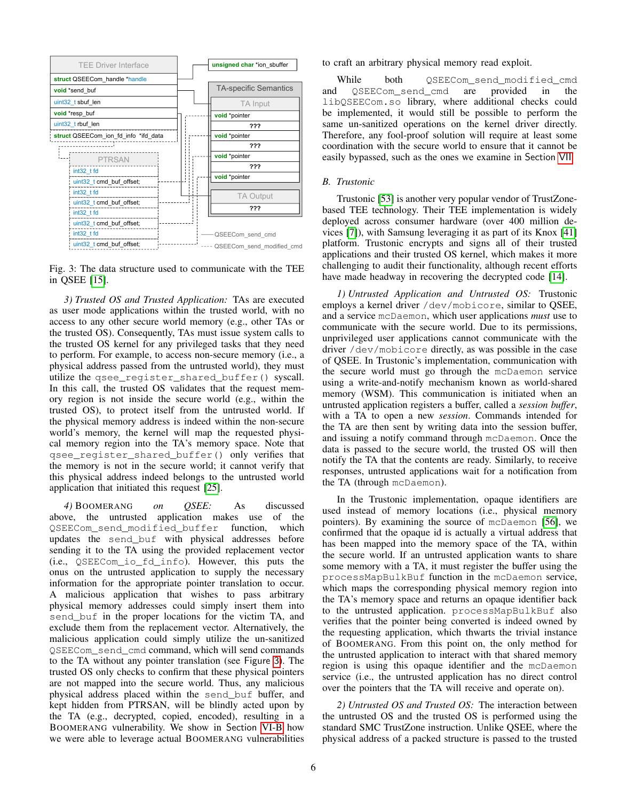<span id="page-5-0"></span>

Fig. 3: The data structure used to communicate with the TEE in QSEE [\[15\]](#page-14-26).

*3) Trusted OS and Trusted Application:* TAs are executed as user mode applications within the trusted world, with no access to any other secure world memory (e.g., other TAs or the trusted OS). Consequently, TAs must issue system calls to the trusted OS kernel for any privileged tasks that they need to perform. For example, to access non-secure memory (i.e., a physical address passed from the untrusted world), they must utilize the qsee\_register\_shared\_buffer() syscall. In this call, the trusted OS validates that the request memory region is not inside the secure world (e.g., within the trusted OS), to protect itself from the untrusted world. If the physical memory address is indeed within the non-secure world's memory, the kernel will map the requested physical memory region into the TA's memory space. Note that qsee\_register\_shared\_buffer() only verifies that the memory is not in the secure world; it cannot verify that this physical address indeed belongs to the untrusted world application that initiated this request [\[25\]](#page-14-3).

*4)* BOOMERANG *on QSEE:* As discussed above, the untrusted application makes use of the QSEECom\_send\_modified\_buffer function, which updates the send\_buf with physical addresses before sending it to the TA using the provided replacement vector (i.e., QSEECom\_io\_fd\_info). However, this puts the onus on the untrusted application to supply the necessary information for the appropriate pointer translation to occur. A malicious application that wishes to pass arbitrary physical memory addresses could simply insert them into send buf in the proper locations for the victim TA, and exclude them from the replacement vector. Alternatively, the malicious application could simply utilize the un-sanitized QSEECom\_send\_cmd command, which will send commands to the TA without any pointer translation (see Figure [3](#page-5-0)). The trusted OS only checks to confirm that these physical pointers are not mapped into the secure world. Thus, any malicious physical address placed within the send\_buf buffer, and kept hidden from PTRSAN, will be blindly acted upon by the TA (e.g., decrypted, copied, encoded), resulting in a BOOMERANG vulnerability. We show in Section [VI-B](#page-9-0) how we were able to leverage actual BOOMERANG vulnerabilities to craft an arbitrary physical memory read exploit.

While both OSEECom send modified cmd and QSEECom\_send\_cmd are provided in the libQSEECom.so library, where additional checks could be implemented, it would still be possible to perform the same un-sanitized operations on the kernel driver directly. Therefore, any fool-proof solution will require at least some coordination with the secure world to ensure that it cannot be easily bypassed, such as the ones we examine in Section [VII](#page-10-0).

## *B. Trustonic*

Trustonic [\[53\]](#page-14-14) is another very popular vendor of TrustZonebased TEE technology. Their TEE implementation is widely deployed across consumer hardware (over 400 million devices [\[7\]](#page-14-27)), with Samsung leveraging it as part of its Knox [\[41\]](#page-14-28) platform. Trustonic encrypts and signs all of their trusted applications and their trusted OS kernel, which makes it more challenging to audit their functionality, although recent efforts have made headway in recovering the decrypted code [\[14\]](#page-14-29).

*1) Untrusted Application and Untrusted OS:* Trustonic employs a kernel driver /dev/mobicore, similar to QSEE, and a service mcDaemon, which user applications *must* use to communicate with the secure world. Due to its permissions, unprivileged user applications cannot communicate with the driver /dev/mobicore directly, as was possible in the case of QSEE. In Trustonic's implementation, communication with the secure world must go through the mcDaemon service using a write-and-notify mechanism known as world-shared memory (WSM). This communication is initiated when an untrusted application registers a buffer, called a *session buffer*, with a TA to open a new *session*. Commands intended for the TA are then sent by writing data into the session buffer, and issuing a notify command through mcDaemon. Once the data is passed to the secure world, the trusted OS will then notify the TA that the contents are ready. Similarly, to receive responses, untrusted applications wait for a notification from the TA (through mcDaemon).

In the Trustonic implementation, opaque identifiers are used instead of memory locations (i.e., physical memory pointers). By examining the source of mcDaemon [\[56\]](#page-14-30), we confirmed that the opaque id is actually a virtual address that has been mapped into the memory space of the TA, within the secure world. If an untrusted application wants to share some memory with a TA, it must register the buffer using the processMapBulkBuf function in the mcDaemon service, which maps the corresponding physical memory region into the TA's memory space and returns an opaque identifier back to the untrusted application. processMapBulkBuf also verifies that the pointer being converted is indeed owned by the requesting application, which thwarts the trivial instance of BOOMERANG. From this point on, the only method for the untrusted application to interact with that shared memory region is using this opaque identifier and the mcDaemon service (i.e., the untrusted application has no direct control over the pointers that the TA will receive and operate on).

*2) Untrusted OS and Trusted OS:* The interaction between the untrusted OS and the trusted OS is performed using the standard SMC TrustZone instruction. Unlike QSEE, where the physical address of a packed structure is passed to the trusted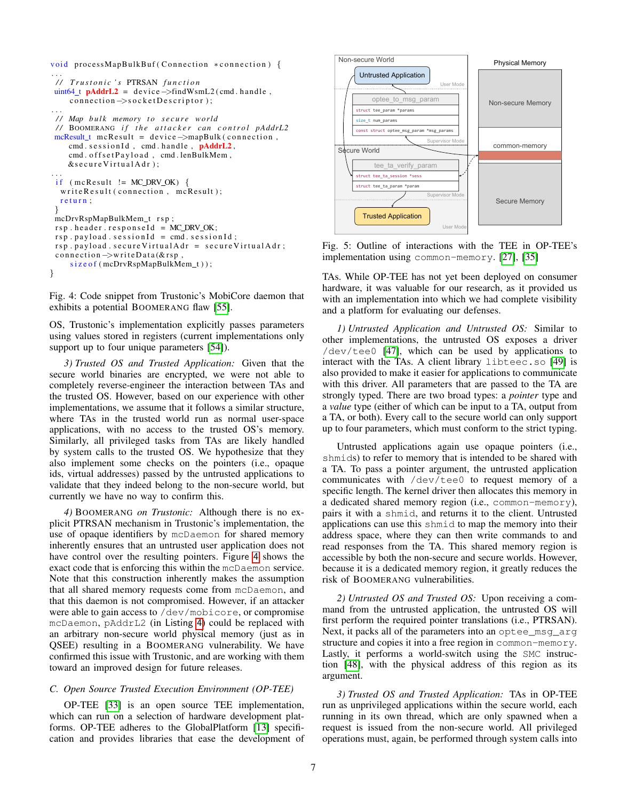```
void processMapBulkBuf (Connection *connection) {
. . .
 / / T r u s t o n i c ' s PTRSAN f u n c t i o n
uint64 t \mathbf{p} \cdot \mathbf{p} = \text{device} - \text{int} \cdot \text{w} \cdot \text{mod} \cdot \text{handle}.
    connection \rightarrow socketDescript;
. . .
// Map bulk memory to secure world
 // BOOMERANG if the attacker can control pAddrL2
 mcResult_t mcResult = device \rightarrowmapBulk (connection,
    cmd. sessionId, cmd. handle, pAddrL2,
    cmd. offsetPayload, cmd. lenBulkMem,
    &s e cure Virtual Adr);
. . .
 if (mcResult != MC_DRV_OK)write Result (connection, mcResult);
  return:
 }
 mcDrvRspMapBulkMem_t rsp;
rsp. header. responseId = MC\_DRV\_OK;
 rsp. payload. sessionId = cmd. sessionId;
 rsp. payload. secure VirtualAdr = secureVirtualAdr;
 connection \rightarrow writeData(\& rsn).
     size of (mcDrvRspMapBulkMem_t));
}
```
Fig. 4: Code snippet from Trustonic's MobiCore daemon that exhibits a potential BOOMERANG flaw [\[55\]](#page-14-31).

OS, Trustonic's implementation explicitly passes parameters using values stored in registers (current implementations only support up to four unique parameters [\[54\]](#page-14-32)).

*3) Trusted OS and Trusted Application:* Given that the secure world binaries are encrypted, we were not able to completely reverse-engineer the interaction between TAs and the trusted OS. However, based on our experience with other implementations, we assume that it follows a similar structure, where TAs in the trusted world run as normal user-space applications, with no access to the trusted OS's memory. Similarly, all privileged tasks from TAs are likely handled by system calls to the trusted OS. We hypothesize that they also implement some checks on the pointers (i.e., opaque ids, virtual addresses) passed by the untrusted applications to validate that they indeed belong to the non-secure world, but currently we have no way to confirm this.

*4)* BOOMERANG *on Trustonic:* Although there is no explicit PTRSAN mechanism in Trustonic's implementation, the use of opaque identifiers by mcDaemon for shared memory inherently ensures that an untrusted user application does not have control over the resulting pointers. Figure [4](#page-6-0) shows the exact code that is enforcing this within the mcDaemon service. Note that this construction inherently makes the assumption that all shared memory requests come from mcDaemon, and that this daemon is not compromised. However, if an attacker were able to gain access to /dev/mobicore, or compromise mcDaemon, pAddrL2 (in Listing [4](#page-6-0)) could be replaced with an arbitrary non-secure world physical memory (just as in QSEE) resulting in a BOOMERANG vulnerability. We have confirmed this issue with Trustonic, and are working with them toward an improved design for future releases.

### <span id="page-6-2"></span>*C. Open Source Trusted Execution Environment (OP-TEE)*

OP-TEE [\[33\]](#page-14-33) is an open source TEE implementation, which can run on a selection of hardware development platforms. OP-TEE adheres to the GlobalPlatform [\[13\]](#page-14-7) specification and provides libraries that ease the development of

<span id="page-6-1"></span>

Fig. 5: Outline of interactions with the TEE in OP-TEE's implementation using common-memory. [\[27\]](#page-14-34), [\[35\]](#page-14-35)

TAs. While OP-TEE has not yet been deployed on consumer hardware, it was valuable for our research, as it provided us with an implementation into which we had complete visibility and a platform for evaluating our defenses.

*1) Untrusted Application and Untrusted OS:* Similar to other implementations, the untrusted OS exposes a driver /dev/tee0 [\[47\]](#page-14-36), which can be used by applications to interact with the TAs. A client library libteec.so [\[49\]](#page-14-37) is also provided to make it easier for applications to communicate with this driver. All parameters that are passed to the TA are strongly typed. There are two broad types: a *pointer* type and a *value* type (either of which can be input to a TA, output from a TA, or both). Every call to the secure world can only support up to four parameters, which must conform to the strict typing.

Untrusted applications again use opaque pointers (i.e., shmids) to refer to memory that is intended to be shared with a TA. To pass a pointer argument, the untrusted application communicates with /dev/tee0 to request memory of a specific length. The kernel driver then allocates this memory in a dedicated shared memory region (i.e., common-memory), pairs it with a shmid, and returns it to the client. Untrusted applications can use this shmid to map the memory into their address space, where they can then write commands to and read responses from the TA. This shared memory region is accessible by both the non-secure and secure worlds. However, because it is a dedicated memory region, it greatly reduces the risk of BOOMERANG vulnerabilities.

*2) Untrusted OS and Trusted OS:* Upon receiving a command from the untrusted application, the untrusted OS will first perform the required pointer translations (i.e., PTRSAN). Next, it packs all of the parameters into an optee\_msg\_arg structure and copies it into a free region in common-memory. Lastly, it performs a world-switch using the SMC instruction [\[48\]](#page-14-38), with the physical address of this region as its argument.

*3) Trusted OS and Trusted Application:* TAs in OP-TEE run as unprivileged applications within the secure world, each running in its own thread, which are only spawned when a request is issued from the non-secure world. All privileged operations must, again, be performed through system calls into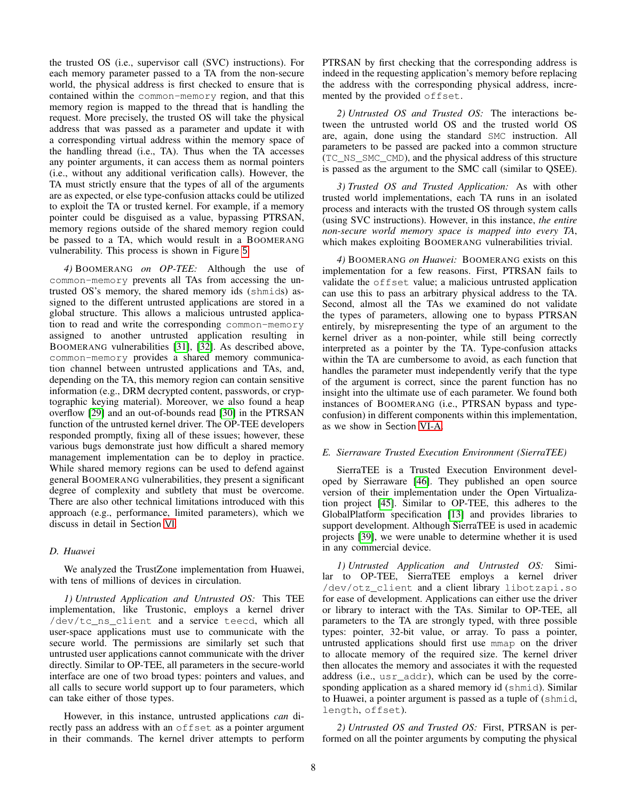the trusted OS (i.e., supervisor call (SVC) instructions). For each memory parameter passed to a TA from the non-secure world, the physical address is first checked to ensure that is contained within the common-memory region, and that this memory region is mapped to the thread that is handling the request. More precisely, the trusted OS will take the physical address that was passed as a parameter and update it with a corresponding virtual address within the memory space of the handling thread (i.e., TA). Thus when the TA accesses any pointer arguments, it can access them as normal pointers (i.e., without any additional verification calls). However, the TA must strictly ensure that the types of all of the arguments are as expected, or else type-confusion attacks could be utilized to exploit the TA or trusted kernel. For example, if a memory pointer could be disguised as a value, bypassing PTRSAN, memory regions outside of the shared memory region could be passed to a TA, which would result in a BOOMERANG vulnerability. This process is shown in Figure [5](#page-6-1).

*4)* BOOMERANG *on OP-TEE:* Although the use of common-memory prevents all TAs from accessing the untrusted OS's memory, the shared memory ids (shmids) assigned to the different untrusted applications are stored in a global structure. This allows a malicious untrusted application to read and write the corresponding common-memory assigned to another untrusted application resulting in BOOMERANG vulnerabilities [\[31\]](#page-14-39), [\[32\]](#page-14-40). As described above, common-memory provides a shared memory communication channel between untrusted applications and TAs, and, depending on the TA, this memory region can contain sensitive information (e.g., DRM decrypted content, passwords, or cryptographic keying material). Moreover, we also found a heap overflow [\[29\]](#page-14-41) and an out-of-bounds read [\[30\]](#page-14-42) in the PTRSAN function of the untrusted kernel driver. The OP-TEE developers responded promptly, fixing all of these issues; however, these various bugs demonstrate just how difficult a shared memory management implementation can be to deploy in practice. While shared memory regions can be used to defend against general BOOMERANG vulnerabilities, they present a significant degree of complexity and subtlety that must be overcome. There are also other technical limitations introduced with this approach (e.g., performance, limited parameters), which we discuss in detail in Section [VI](#page-8-0).

## *D. Huawei*

We analyzed the TrustZone implementation from Huawei, with tens of millions of devices in circulation.

*1) Untrusted Application and Untrusted OS:* This TEE implementation, like Trustonic, employs a kernel driver /dev/tc\_ns\_client and a service teecd, which all user-space applications must use to communicate with the secure world. The permissions are similarly set such that untrusted user applications cannot communicate with the driver directly. Similar to OP-TEE, all parameters in the secure-world interface are one of two broad types: pointers and values, and all calls to secure world support up to four parameters, which can take either of those types.

However, in this instance, untrusted applications *can* directly pass an address with an offset as a pointer argument in their commands. The kernel driver attempts to perform PTRSAN by first checking that the corresponding address is indeed in the requesting application's memory before replacing the address with the corresponding physical address, incremented by the provided offset.

*2) Untrusted OS and Trusted OS:* The interactions between the untrusted world OS and the trusted world OS are, again, done using the standard SMC instruction. All parameters to be passed are packed into a common structure (TC\_NS\_SMC\_CMD), and the physical address of this structure is passed as the argument to the SMC call (similar to QSEE).

*3) Trusted OS and Trusted Application:* As with other trusted world implementations, each TA runs in an isolated process and interacts with the trusted OS through system calls (using SVC instructions). However, in this instance, *the entire non-secure world memory space is mapped into every TA*, which makes exploiting BOOMERANG vulnerabilities trivial.

*4)* BOOMERANG *on Huawei:* BOOMERANG exists on this implementation for a few reasons. First, PTRSAN fails to validate the offset value; a malicious untrusted application can use this to pass an arbitrary physical address to the TA. Second, almost all the TAs we examined do not validate the types of parameters, allowing one to bypass PTRSAN entirely, by misrepresenting the type of an argument to the kernel driver as a non-pointer, while still being correctly interpreted as a pointer by the TA. Type-confusion attacks within the TA are cumbersome to avoid, as each function that handles the parameter must independently verify that the type of the argument is correct, since the parent function has no insight into the ultimate use of each parameter. We found both instances of BOOMERANG (i.e., PTRSAN bypass and typeconfusion) in different components within this implementation, as we show in Section [VI-A.](#page-8-1)

## *E. Sierraware Trusted Execution Environment (SierraTEE)*

SierraTEE is a Trusted Execution Environment developed by Sierraware [\[46\]](#page-14-43). They published an open source version of their implementation under the Open Virtualization project [\[45\]](#page-14-44). Similar to OP-TEE, this adheres to the GlobalPlatform specification [\[13\]](#page-14-7) and provides libraries to support development. Although SierraTEE is used in academic projects [\[39\]](#page-14-45), we were unable to determine whether it is used in any commercial device.

*1) Untrusted Application and Untrusted OS:* Similar to OP-TEE, SierraTEE employs a kernel driver /dev/otz\_client and a client library libotzapi.so for ease of development. Applications can either use the driver or library to interact with the TAs. Similar to OP-TEE, all parameters to the TA are strongly typed, with three possible types: pointer, 32-bit value, or array. To pass a pointer, untrusted applications should first use mmap on the driver to allocate memory of the required size. The kernel driver then allocates the memory and associates it with the requested address (i.e., usr\_addr), which can be used by the corresponding application as a shared memory id (shmid). Similar to Huawei, a pointer argument is passed as a tuple of (shmid, length, offset).

*2) Untrusted OS and Trusted OS:* First, PTRSAN is performed on all the pointer arguments by computing the physical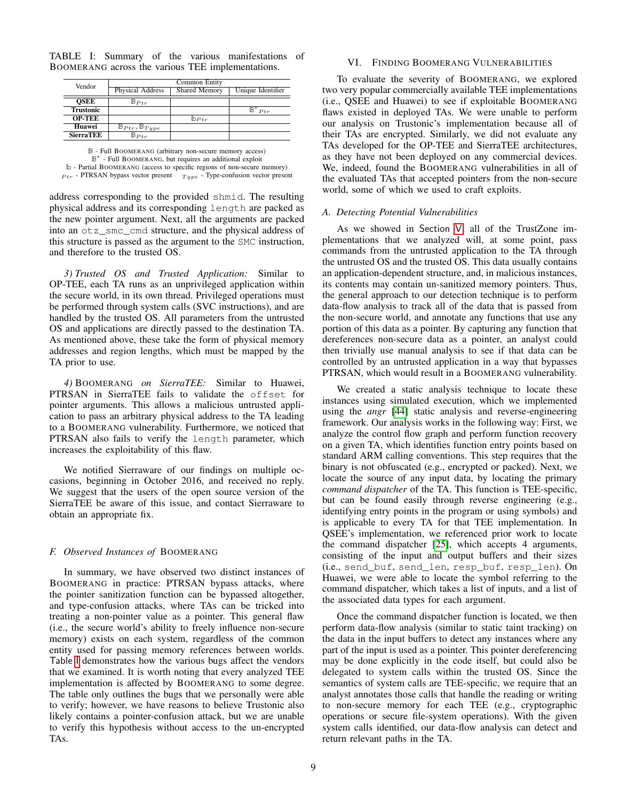| Vendor           | Common Entity                            |                      |                   |  |
|------------------|------------------------------------------|----------------------|-------------------|--|
|                  | <b>Physical Address</b>                  | <b>Shared Memory</b> | Unique Identifier |  |
| <b>OSEE</b>      | $\mathbb{B} p_{tr}$                      |                      |                   |  |
| <b>Trustonic</b> |                                          |                      | Ptr               |  |
| <b>OP-TEE</b>    |                                          | $\mathbb{D}_{Ptr}$   |                   |  |
| Huawei           | $\mathbb{B}_{Ptr}$ , $\mathbb{B}_{Type}$ |                      |                   |  |
| <b>SierraTEE</b> | $\mathbb{B}_{Ptr}$                       |                      |                   |  |

<span id="page-8-2"></span>TABLE I: Summary of the various manifestations of BOOMERANG across the various TEE implementations.

**B** - Full BOOMERANG (arbitrary non-secure memory access) **B** ∗ - Full BOOMERANG, but requires an additional exploit **b** - Partial BOOMERANG (access to specific regions of non-secure memory)  $P_{tr}$  - PTRSAN bypass vector present  $T_{type}$  - Type-confusion vector present

address corresponding to the provided shmid. The resulting physical address and its corresponding length are packed as the new pointer argument. Next, all the arguments are packed into an otz\_smc\_cmd structure, and the physical address of this structure is passed as the argument to the SMC instruction, and therefore to the trusted OS.

*3) Trusted OS and Trusted Application:* Similar to OP-TEE, each TA runs as an unprivileged application within the secure world, in its own thread. Privileged operations must be performed through system calls (SVC instructions), and are handled by the trusted OS. All parameters from the untrusted OS and applications are directly passed to the destination TA. As mentioned above, these take the form of physical memory addresses and region lengths, which must be mapped by the TA prior to use.

*4)* BOOMERANG *on SierraTEE:* Similar to Huawei, PTRSAN in SierraTEE fails to validate the offset for pointer arguments. This allows a malicious untrusted application to pass an arbitrary physical address to the TA leading to a BOOMERANG vulnerability. Furthermore, we noticed that PTRSAN also fails to verify the length parameter, which increases the exploitability of this flaw.

We notified Sierraware of our findings on multiple occasions, beginning in October 2016, and received no reply. We suggest that the users of the open source version of the SierraTEE be aware of this issue, and contact Sierraware to obtain an appropriate fix.

## *F. Observed Instances of* BOOMERANG

In summary, we have observed two distinct instances of BOOMERANG in practice: PTRSAN bypass attacks, where the pointer sanitization function can be bypassed altogether, and type-confusion attacks, where TAs can be tricked into treating a non-pointer value as a pointer. This general flaw (i.e., the secure world's ability to freely influence non-secure memory) exists on each system, regardless of the common entity used for passing memory references between worlds. Table [I](#page-8-2) demonstrates how the various bugs affect the vendors that we examined. It is worth noting that every analyzed TEE implementation is affected by BOOMERANG to some degree. The table only outlines the bugs that we personally were able to verify; however, we have reasons to believe Trustonic also likely contains a pointer-confusion attack, but we are unable to verify this hypothesis without access to the un-encrypted TAs.

## VI. FINDING BOOMERANG VULNERABILITIES

<span id="page-8-0"></span>To evaluate the severity of BOOMERANG, we explored two very popular commercially available TEE implementations (i.e., QSEE and Huawei) to see if exploitable BOOMERANG flaws existed in deployed TAs. We were unable to perform our analysis on Trustonic's implementation because all of their TAs are encrypted. Similarly, we did not evaluate any TAs developed for the OP-TEE and SierraTEE architectures, as they have not been deployed on any commercial devices. We, indeed, found the BOOMERANG vulnerabilities in all of the evaluated TAs that accepted pointers from the non-secure world, some of which we used to craft exploits.

## <span id="page-8-1"></span>*A. Detecting Potential Vulnerabilities*

As we showed in Section [V](#page-4-0), all of the TrustZone implementations that we analyzed will, at some point, pass commands from the untrusted application to the TA through the untrusted OS and the trusted OS. This data usually contains an application-dependent structure, and, in malicious instances, its contents may contain un-sanitized memory pointers. Thus, the general approach to our detection technique is to perform data-flow analysis to track all of the data that is passed from the non-secure world, and annotate any functions that use any portion of this data as a pointer. By capturing any function that dereferences non-secure data as a pointer, an analyst could then trivially use manual analysis to see if that data can be controlled by an untrusted application in a way that bypasses PTRSAN, which would result in a BOOMERANG vulnerability.

We created a static analysis technique to locate these instances using simulated execution, which we implemented using the *angr* [\[44\]](#page-14-46) static analysis and reverse-engineering framework. Our analysis works in the following way: First, we analyze the control flow graph and perform function recovery on a given TA, which identifies function entry points based on standard ARM calling conventions. This step requires that the binary is not obfuscated (e.g., encrypted or packed). Next, we locate the source of any input data, by locating the primary *command dispatcher* of the TA. This function is TEE-specific, but can be found easily through reverse engineering (e.g., identifying entry points in the program or using symbols) and is applicable to every TA for that TEE implementation. In QSEE's implementation, we referenced prior work to locate the command dispatcher [\[25\]](#page-14-3), which accepts 4 arguments, consisting of the input and output buffers and their sizes (i.e., send\_buf, send\_len, resp\_buf, resp\_len). On Huawei, we were able to locate the symbol referring to the command dispatcher, which takes a list of inputs, and a list of the associated data types for each argument.

Once the command dispatcher function is located, we then perform data-flow analysis (similar to static taint tracking) on the data in the input buffers to detect any instances where any part of the input is used as a pointer. This pointer dereferencing may be done explicitly in the code itself, but could also be delegated to system calls within the trusted OS. Since the semantics of system calls are TEE-specific, we require that an analyst annotates those calls that handle the reading or writing to non-secure memory for each TEE (e.g., cryptographic operations or secure file-system operations). With the given system calls identified, our data-flow analysis can detect and return relevant paths in the TA.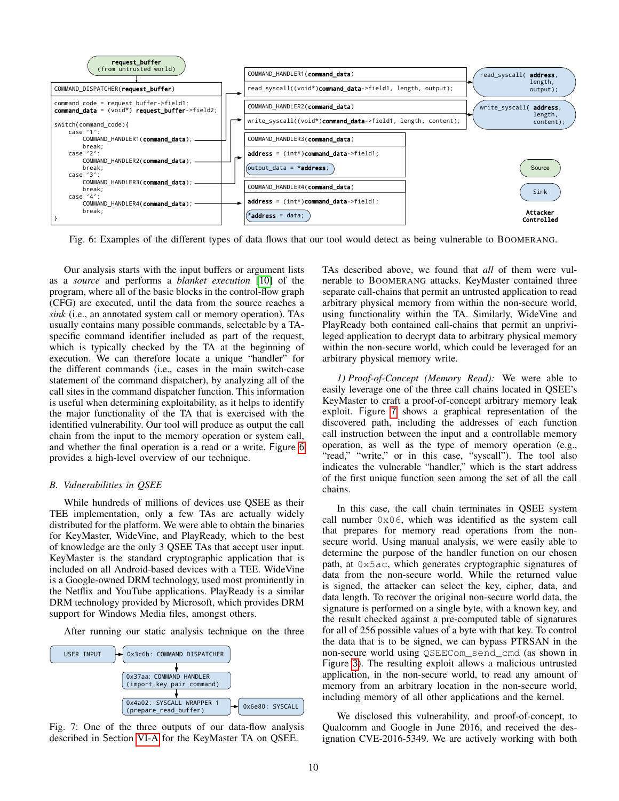<span id="page-9-1"></span>

Fig. 6: Examples of the different types of data flows that our tool would detect as being vulnerable to BOOMERANG.

Our analysis starts with the input buffers or argument lists as a *source* and performs a *blanket execution* [\[10\]](#page-14-47) of the program, where all of the basic blocks in the control-flow graph (CFG) are executed, until the data from the source reaches a *sink* (i.e., an annotated system call or memory operation). TAs usually contains many possible commands, selectable by a TAspecific command identifier included as part of the request, which is typically checked by the TA at the beginning of execution. We can therefore locate a unique "handler" for the different commands (i.e., cases in the main switch-case statement of the command dispatcher), by analyzing all of the call sites in the command dispatcher function. This information is useful when determining exploitability, as it helps to identify the major functionality of the TA that is exercised with the identified vulnerability. Our tool will produce as output the call chain from the input to the memory operation or system call, and whether the final operation is a read or a write. Figure [6](#page-9-1) provides a high-level overview of our technique.

#### <span id="page-9-0"></span>*B. Vulnerabilities in QSEE*

While hundreds of millions of devices use QSEE as their TEE implementation, only a few TAs are actually widely distributed for the platform. We were able to obtain the binaries for KeyMaster, WideVine, and PlayReady, which to the best of knowledge are the only 3 QSEE TAs that accept user input. KeyMaster is the standard cryptographic application that is included on all Android-based devices with a TEE. WideVine is a Google-owned DRM technology, used most prominently in the Netflix and YouTube applications. PlayReady is a similar DRM technology provided by Microsoft, which provides DRM support for Windows Media files, amongst others.

After running our static analysis technique on the three

<span id="page-9-2"></span>

Fig. 7: One of the three outputs of our data-flow analysis described in Section [VI-A](#page-8-1) for the KeyMaster TA on QSEE.

TAs described above, we found that *all* of them were vulnerable to BOOMERANG attacks. KeyMaster contained three separate call-chains that permit an untrusted application to read arbitrary physical memory from within the non-secure world, using functionality within the TA. Similarly, WideVine and PlayReady both contained call-chains that permit an unprivileged application to decrypt data to arbitrary physical memory within the non-secure world, which could be leveraged for an arbitrary physical memory write.

*1) Proof-of-Concept (Memory Read):* We were able to easily leverage one of the three call chains located in QSEE's KeyMaster to craft a proof-of-concept arbitrary memory leak exploit. Figure [7](#page-9-2) shows a graphical representation of the discovered path, including the addresses of each function call instruction between the input and a controllable memory operation, as well as the type of memory operation (e.g., "read," "write," or in this case, "syscall"). The tool also indicates the vulnerable "handler," which is the start address of the first unique function seen among the set of all the call chains.

In this case, the call chain terminates in QSEE system call number  $0 \times 06$ , which was identified as the system call that prepares for memory read operations from the nonsecure world. Using manual analysis, we were easily able to determine the purpose of the handler function on our chosen path, at 0x5ac, which generates cryptographic signatures of data from the non-secure world. While the returned value is signed, the attacker can select the key, cipher, data, and data length. To recover the original non-secure world data, the signature is performed on a single byte, with a known key, and the result checked against a pre-computed table of signatures for all of 256 possible values of a byte with that key. To control the data that is to be signed, we can bypass PTRSAN in the non-secure world using QSEECom\_send\_cmd (as shown in Figure [3](#page-5-0)). The resulting exploit allows a malicious untrusted application, in the non-secure world, to read any amount of memory from an arbitrary location in the non-secure world, including memory of all other applications and the kernel.

We disclosed this vulnerability, and proof-of-concept, to Qualcomm and Google in June 2016, and received the designation CVE-2016-5349. We are actively working with both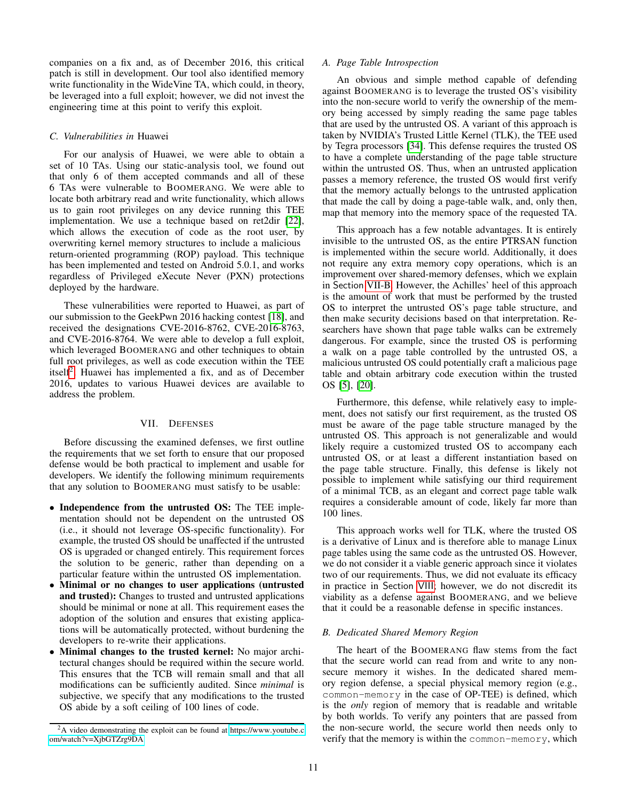companies on a fix and, as of December 2016, this critical patch is still in development. Our tool also identified memory write functionality in the WideVine TA, which could, in theory, be leveraged into a full exploit; however, we did not invest the engineering time at this point to verify this exploit.

## *C. Vulnerabilities in* Huawei

For our analysis of Huawei, we were able to obtain a set of 10 TAs. Using our static-analysis tool, we found out that only 6 of them accepted commands and all of these 6 TAs were vulnerable to BOOMERANG. We were able to locate both arbitrary read and write functionality, which allows us to gain root privileges on any device running this TEE implementation. We use a technique based on ret2dir [\[22\]](#page-14-48), which allows the execution of code as the root user, by overwriting kernel memory structures to include a malicious return-oriented programming (ROP) payload. This technique has been implemented and tested on Android 5.0.1, and works regardless of Privileged eXecute Never (PXN) protections deployed by the hardware.

These vulnerabilities were reported to Huawei, as part of our submission to the GeekPwn 2016 hacking contest [\[18\]](#page-14-49), and received the designations CVE-2016-8762, CVE-2016-8763, and CVE-2016-8764. We were able to develop a full exploit, which leveraged BOOMERANG and other techniques to obtain full root privileges, as well as code execution within the TEE itself<sup>[2](#page-10-1)</sup>. Huawei has implemented a fix, and as of December 2016, updates to various Huawei devices are available to address the problem.

## VII. DEFENSES

<span id="page-10-0"></span>Before discussing the examined defenses, we first outline the requirements that we set forth to ensure that our proposed defense would be both practical to implement and usable for developers. We identify the following minimum requirements that any solution to BOOMERANG must satisfy to be usable:

- Independence from the untrusted OS: The TEE implementation should not be dependent on the untrusted OS (i.e., it should not leverage OS-specific functionality). For example, the trusted OS should be unaffected if the untrusted OS is upgraded or changed entirely. This requirement forces the solution to be generic, rather than depending on a particular feature within the untrusted OS implementation.
- Minimal or no changes to user applications (untrusted and trusted): Changes to trusted and untrusted applications should be minimal or none at all. This requirement eases the adoption of the solution and ensures that existing applications will be automatically protected, without burdening the developers to re-write their applications.
- Minimal changes to the trusted kernel: No major architectural changes should be required within the secure world. This ensures that the TCB will remain small and that all modifications can be sufficiently audited. Since *minimal* is subjective, we specify that any modifications to the trusted OS abide by a soft ceiling of 100 lines of code.

## *A. Page Table Introspection*

An obvious and simple method capable of defending against BOOMERANG is to leverage the trusted OS's visibility into the non-secure world to verify the ownership of the memory being accessed by simply reading the same page tables that are used by the untrusted OS. A variant of this approach is taken by NVIDIA's Trusted Little Kernel (TLK), the TEE used by Tegra processors [\[34\]](#page-14-15). This defense requires the trusted OS to have a complete understanding of the page table structure within the untrusted OS. Thus, when an untrusted application passes a memory reference, the trusted OS would first verify that the memory actually belongs to the untrusted application that made the call by doing a page-table walk, and, only then, map that memory into the memory space of the requested TA.

This approach has a few notable advantages. It is entirely invisible to the untrusted OS, as the entire PTRSAN function is implemented within the secure world. Additionally, it does not require any extra memory copy operations, which is an improvement over shared-memory defenses, which we explain in Section [VII-B.](#page-10-2) However, the Achilles' heel of this approach is the amount of work that must be performed by the trusted OS to interpret the untrusted OS's page table structure, and then make security decisions based on that interpretation. Researchers have shown that page table walks can be extremely dangerous. For example, since the trusted OS is performing a walk on a page table controlled by the untrusted OS, a malicious untrusted OS could potentially craft a malicious page table and obtain arbitrary code execution within the trusted OS [\[5\]](#page-14-23), [\[20\]](#page-14-50).

Furthermore, this defense, while relatively easy to implement, does not satisfy our first requirement, as the trusted OS must be aware of the page table structure managed by the untrusted OS. This approach is not generalizable and would likely require a customized trusted OS to accompany each untrusted OS, or at least a different instantiation based on the page table structure. Finally, this defense is likely not possible to implement while satisfying our third requirement of a minimal TCB, as an elegant and correct page table walk requires a considerable amount of code, likely far more than 100 lines.

This approach works well for TLK, where the trusted OS is a derivative of Linux and is therefore able to manage Linux page tables using the same code as the untrusted OS. However, we do not consider it a viable generic approach since it violates two of our requirements. Thus, we did not evaluate its efficacy in practice in Section [VIII](#page-12-0); however, we do not discredit its viability as a defense against BOOMERANG, and we believe that it could be a reasonable defense in specific instances.

## <span id="page-10-2"></span>*B. Dedicated Shared Memory Region*

The heart of the BOOMERANG flaw stems from the fact that the secure world can read from and write to any nonsecure memory it wishes. In the dedicated shared memory region defense, a special physical memory region (e.g., common-memory in the case of OP-TEE) is defined, which is the *only* region of memory that is readable and writable by both worlds. To verify any pointers that are passed from the non-secure world, the secure world then needs only to verify that the memory is within the common-memory, which

<span id="page-10-1"></span><sup>2</sup>A video demonstrating the exploit can be found at [https://www](https://www.youtube.com/watch?v=XjbGTZrg9DA).youtube.c [om/watch?v=XjbGTZrg9DA](https://www.youtube.com/watch?v=XjbGTZrg9DA)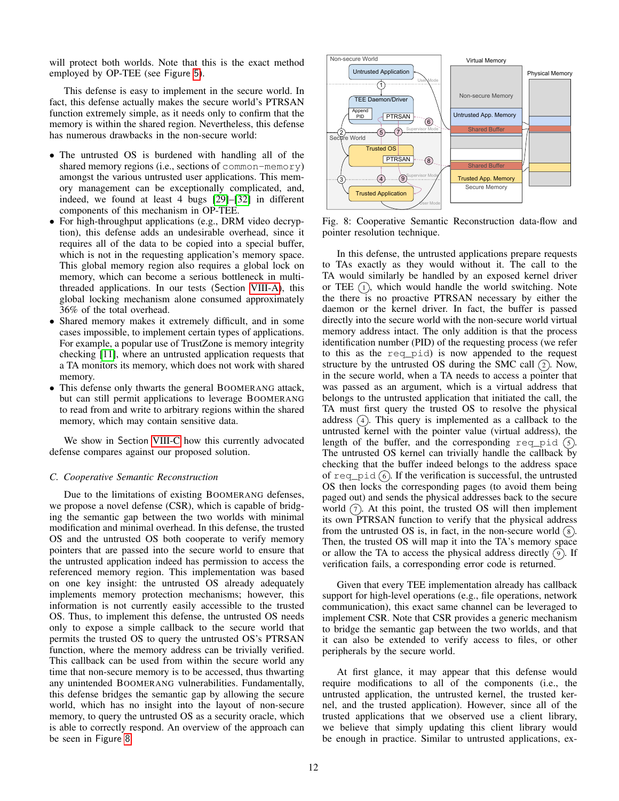will protect both worlds. Note that this is the exact method employed by OP-TEE (see Figure [5](#page-6-1)).

This defense is easy to implement in the secure world. In fact, this defense actually makes the secure world's PTRSAN function extremely simple, as it needs only to confirm that the memory is within the shared region. Nevertheless, this defense has numerous drawbacks in the non-secure world:

- The untrusted OS is burdened with handling all of the shared memory regions (i.e., sections of common-memory) amongst the various untrusted user applications. This memory management can be exceptionally complicated, and, indeed, we found at least 4 bugs [\[29\]](#page-14-41)–[\[32\]](#page-14-40) in different components of this mechanism in OP-TEE.
- For high-throughput applications (e.g., DRM video decryption), this defense adds an undesirable overhead, since it requires all of the data to be copied into a special buffer, which is not in the requesting application's memory space. This global memory region also requires a global lock on memory, which can become a serious bottleneck in multithreaded applications. In our tests (Section [VIII-A\)](#page-12-1), this global locking mechanism alone consumed approximately 36% of the total overhead.
- Shared memory makes it extremely difficult, and in some cases impossible, to implement certain types of applications. For example, a popular use of TrustZone is memory integrity checking [\[11\]](#page-14-9), where an untrusted application requests that a TA monitors its memory, which does not work with shared memory.
- This defense only thwarts the general BOOMERANG attack, but can still permit applications to leverage BOOMERANG to read from and write to arbitrary regions within the shared memory, which may contain sensitive data.

We show in Section [VIII-C](#page-12-2) how this currently advocated defense compares against our proposed solution.

## <span id="page-11-0"></span>*C. Cooperative Semantic Reconstruction*

Due to the limitations of existing BOOMERANG defenses, we propose a novel defense (CSR), which is capable of bridging the semantic gap between the two worlds with minimal modification and minimal overhead. In this defense, the trusted OS and the untrusted OS both cooperate to verify memory pointers that are passed into the secure world to ensure that the untrusted application indeed has permission to access the referenced memory region. This implementation was based on one key insight: the untrusted OS already adequately implements memory protection mechanisms; however, this information is not currently easily accessible to the trusted OS. Thus, to implement this defense, the untrusted OS needs only to expose a simple callback to the secure world that permits the trusted OS to query the untrusted OS's PTRSAN function, where the memory address can be trivially verified. This callback can be used from within the secure world any time that non-secure memory is to be accessed, thus thwarting any unintended BOOMERANG vulnerabilities. Fundamentally, this defense bridges the semantic gap by allowing the secure world, which has no insight into the layout of non-secure memory, to query the untrusted OS as a security oracle, which is able to correctly respond. An overview of the approach can be seen in Figure [8](#page-11-1)

<span id="page-11-1"></span>

Fig. 8: Cooperative Semantic Reconstruction data-flow and pointer resolution technique.

In this defense, the untrusted applications prepare requests to TAs exactly as they would without it. The call to the TA would similarly be handled by an exposed kernel driver or TEE  $(1)$ , which would handle the world switching. Note the there is no proactive PTRSAN necessary by either the daemon or the kernel driver. In fact, the buffer is passed directly into the secure world with the non-secure world virtual memory address intact. The only addition is that the process identification number (PID) of the requesting process (we refer to this as the req\_pid) is now appended to the request structure by the untrusted OS during the SMC call  $(2)$ . Now, in the secure world, when a TA needs to access a pointer that was passed as an argument, which is a virtual address that belongs to the untrusted application that initiated the call, the TA must first query the trusted OS to resolve the physical address  $(4)$ . This query is implemented as a callback to the untrusted kernel with the pointer value (virtual address), the length of the buffer, and the corresponding req pid  $(5)$ . The untrusted OS kernel can trivially handle the callback by checking that the buffer indeed belongs to the address space of req\_pid  $(6)$ . If the verification is successful, the untrusted OS then locks the corresponding pages (to avoid them being paged out) and sends the physical addresses back to the secure world  $(7)$ . At this point, the trusted OS will then implement its own PTRSAN function to verify that the physical address from the untrusted OS is, in fact, in the non-secure world  $(8)$ . Then, the trusted OS will map it into the TA's memory space or allow the TA to access the physical address directly  $(9)$ . If verification fails, a corresponding error code is returned.

Given that every TEE implementation already has callback support for high-level operations (e.g., file operations, network communication), this exact same channel can be leveraged to implement CSR. Note that CSR provides a generic mechanism to bridge the semantic gap between the two worlds, and that it can also be extended to verify access to files, or other peripherals by the secure world.

At first glance, it may appear that this defense would require modifications to all of the components (i.e., the untrusted application, the untrusted kernel, the trusted kernel, and the trusted application). However, since all of the trusted applications that we observed use a client library, we believe that simply updating this client library would be enough in practice. Similar to untrusted applications, ex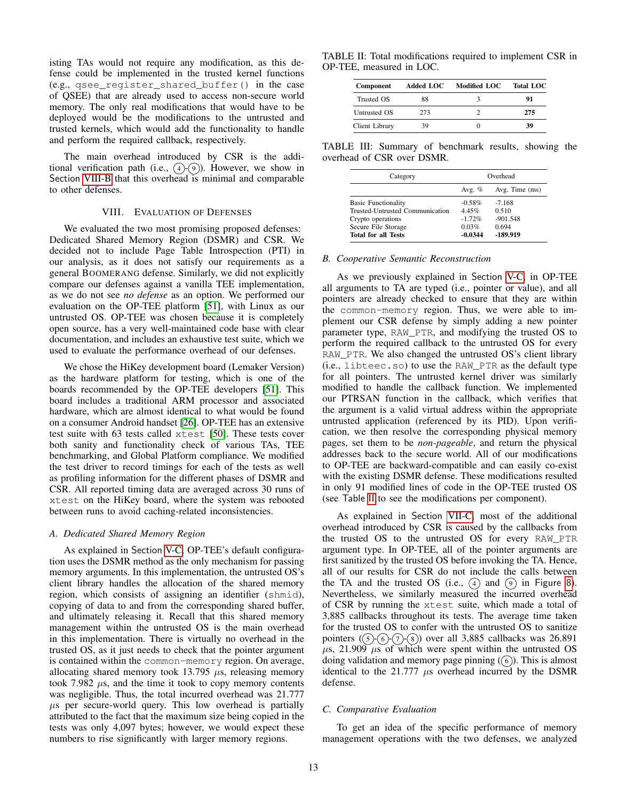isting TAs would not require any modification, as this defense could be implemented in the trusted kernel functions (e.g., qsee register shared buffer() in the case of QSEE) that are already used to access non-secure world memory. The only real modifications that would have to be deployed would be the modifications to the untrusted and trusted kernels, which would add the functionality to handle and perform the required callback, respectively.

The main overhead introduced by CSR is the additional verification path (i.e.,  $(4)$ - $(9)$ ). However, we show in Section [VIII-B](#page-12-3) that this overhead is minimal and comparable to other defenses.

## VIII. EVALUATION OF DEFENSES

<span id="page-12-0"></span>We evaluated the two most promising proposed defenses: Dedicated Shared Memory Region (DSMR) and CSR. We decided not to include Page Table Introspection (PTI) in our analysis, as it does not satisfy our requirements as a general BOOMERANG defense. Similarly, we did not explicitly compare our defenses against a vanilla TEE implementation, as we do not see *no defense* as an option. We performed our evaluation on the OP-TEE platform [\[51\]](#page-14-16), with Linux as our untrusted OS. OP-TEE was chosen because it is completely open source, has a very well-maintained code base with clear documentation, and includes an exhaustive test suite, which we used to evaluate the performance overhead of our defenses.

We chose the HiKey development board (Lemaker Version) as the hardware platform for testing, which is one of the boards recommended by the OP-TEE developers [\[51\]](#page-14-16). This board includes a traditional ARM processor and associated hardware, which are almost identical to what would be found on a consumer Android handset [\[26\]](#page-14-51). OP-TEE has an extensive test suite with 63 tests called xtest [\[50\]](#page-14-52). These tests cover both sanity and functionality check of various TAs, TEE benchmarking, and Global Platform compliance. We modified the test driver to record timings for each of the tests as well as profiling information for the different phases of DSMR and CSR. All reported timing data are averaged across 30 runs of xtest on the HiKey board, where the system was rebooted between runs to avoid caching-related inconsistencies.

#### <span id="page-12-1"></span>*A. Dedicated Shared Memory Region*

As explained in Section [V-C,](#page-6-2) OP-TEE's default configuration uses the DSMR method as the only mechanism for passing memory arguments. In this implementation, the untrusted OS's client library handles the allocation of the shared memory region, which consists of assigning an identifier (shmid), copying of data to and from the corresponding shared buffer, and ultimately releasing it. Recall that this shared memory management within the untrusted OS is the main overhead in this implementation. There is virtually no overhead in the trusted OS, as it just needs to check that the pointer argument is contained within the common-memory region. On average, allocating shared memory took 13.795  $\mu$ s, releasing memory took 7.982  $\mu$ s, and the time it took to copy memory contents was negligible. Thus, the total incurred overhead was 21.777  $\mu$ s per secure-world query. This low overhead is partially attributed to the fact that the maximum size being copied in the tests was only 4,097 bytes; however, we would expect these numbers to rise significantly with larger memory regions.

<span id="page-12-4"></span>TABLE II: Total modifications required to implement CSR in OP-TEE, measured in LOC.

| Component             | <b>Added LOC</b> | <b>Modified LOC</b> | <b>Total LOC</b> |
|-----------------------|------------------|---------------------|------------------|
| Trusted OS            | 88               |                     | 91               |
| Untrusted OS          | 273              |                     | 275              |
| <b>Client Library</b> | 39               |                     | 39               |

<span id="page-12-5"></span>TABLE III: Summary of benchmark results, showing the overhead of CSR over DSMR.

| Category                        | Overhead  |                |
|---------------------------------|-----------|----------------|
|                                 | Avg. $%$  | Avg. Time (ms) |
| <b>Basic Functionality</b>      | $-0.58\%$ | $-7.168$       |
| Trusted-Untrusted Communication | 4.45%     | 0.510          |
| Crypto operations               | $-172%$   | $-901.548$     |
| Secure File Storage             | 0.03%     | 0.694          |
| <b>Total for all Tests</b>      | $-0.0344$ | -189.919       |

#### <span id="page-12-3"></span>*B. Cooperative Semantic Reconstruction*

As we previously explained in Section [V-C,](#page-6-2) in OP-TEE all arguments to TA are typed (i.e., pointer or value), and all pointers are already checked to ensure that they are within the common-memory region. Thus, we were able to implement our CSR defense by simply adding a new pointer parameter type, RAW\_PTR, and modifying the trusted OS to perform the required callback to the untrusted OS for every RAW\_PTR. We also changed the untrusted OS's client library (i.e., libteec.so) to use the RAW\_PTR as the default type for all pointers. The untrusted kernel driver was similarly modified to handle the callback function. We implemented our PTRSAN function in the callback, which verifies that the argument is a valid virtual address within the appropriate untrusted application (referenced by its PID). Upon verification, we then resolve the corresponding physical memory pages, set them to be *non-pageable*, and return the physical addresses back to the secure world. All of our modifications to OP-TEE are backward-compatible and can easily co-exist with the existing DSMR defense. These modifications resulted in only 91 modified lines of code in the OP-TEE trusted OS (see Table [II](#page-12-4) to see the modifications per component).

As explained in Section [VII-C,](#page-11-0) most of the additional overhead introduced by CSR is caused by the callbacks from the trusted OS to the untrusted OS for every RAW\_PTR argument type. In OP-TEE, all of the pointer arguments are first sanitized by the trusted OS before invoking the TA. Hence, all of our results for CSR do not include the calls between the TA and the trusted OS (i.e.,  $(4)$  and  $(9)$  in Figure [8](#page-11-1)). Nevertheless, we similarly measured the incurred overhead of CSR by running the xtest suite, which made a total of 3,885 callbacks throughout its tests. The average time taken for the trusted OS to confer with the untrusted OS to sanitize pointers  $(5)(6)(7)(8)$  over all 3,885 callbacks was 26.891  $\mu$ s, 21.909  $\mu$ s of which were spent within the untrusted OS doing validation and memory page pinning  $(\widehat{\mathfrak{h}})$ . This is almost identical to the  $21.777 \mu s$  overhead incurred by the DSMR defense.

#### <span id="page-12-2"></span>*C. Comparative Evaluation*

To get an idea of the specific performance of memory management operations with the two defenses, we analyzed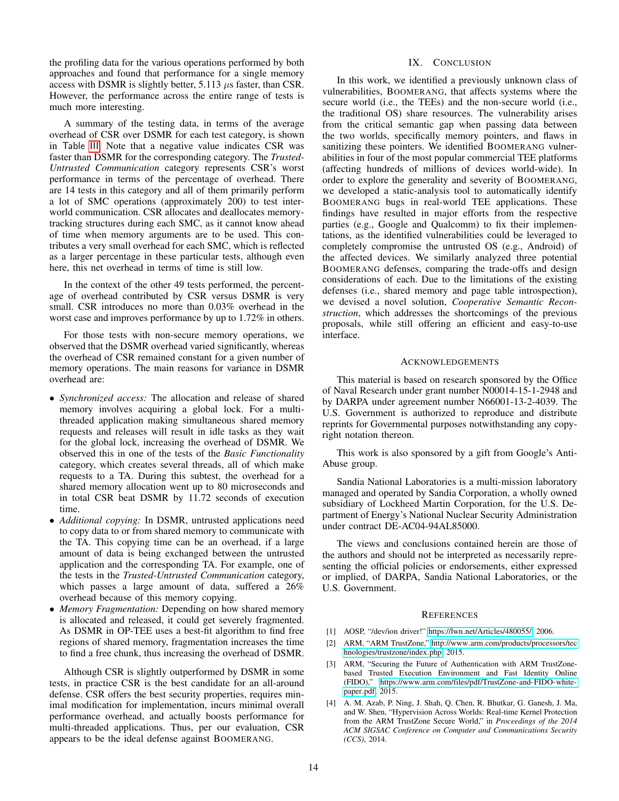the profiling data for the various operations performed by both approaches and found that performance for a single memory access with DSMR is slightly better,  $5.113 \mu s$  faster, than CSR. However, the performance across the entire range of tests is much more interesting.

A summary of the testing data, in terms of the average overhead of CSR over DSMR for each test category, is shown in Table [III](#page-12-5). Note that a negative value indicates CSR was faster than DSMR for the corresponding category. The *Trusted-Untrusted Communication* category represents CSR's worst performance in terms of the percentage of overhead. There are 14 tests in this category and all of them primarily perform a lot of SMC operations (approximately 200) to test interworld communication. CSR allocates and deallocates memorytracking structures during each SMC, as it cannot know ahead of time when memory arguments are to be used. This contributes a very small overhead for each SMC, which is reflected as a larger percentage in these particular tests, although even here, this net overhead in terms of time is still low.

In the context of the other 49 tests performed, the percentage of overhead contributed by CSR versus DSMR is very small. CSR introduces no more than 0.03% overhead in the worst case and improves performance by up to 1.72% in others.

For those tests with non-secure memory operations, we observed that the DSMR overhead varied significantly, whereas the overhead of CSR remained constant for a given number of memory operations. The main reasons for variance in DSMR overhead are:

- *Synchronized access:* The allocation and release of shared memory involves acquiring a global lock. For a multithreaded application making simultaneous shared memory requests and releases will result in idle tasks as they wait for the global lock, increasing the overhead of DSMR. We observed this in one of the tests of the *Basic Functionality* category, which creates several threads, all of which make requests to a TA. During this subtest, the overhead for a shared memory allocation went up to 80 microseconds and in total CSR beat DSMR by 11.72 seconds of execution time.
- *Additional copying:* In DSMR, untrusted applications need to copy data to or from shared memory to communicate with the TA. This copying time can be an overhead, if a large amount of data is being exchanged between the untrusted application and the corresponding TA. For example, one of the tests in the *Trusted-Untrusted Communication* category, which passes a large amount of data, suffered a 26% overhead because of this memory copying.
- *Memory Fragmentation:* Depending on how shared memory is allocated and released, it could get severely fragmented. As DSMR in OP-TEE uses a best-fit algorithm to find free regions of shared memory, fragmentation increases the time to find a free chunk, thus increasing the overhead of DSMR.

Although CSR is slightly outperformed by DSMR in some tests, in practice CSR is the best candidate for an all-around defense. CSR offers the best security properties, requires minimal modification for implementation, incurs minimal overall performance overhead, and actually boosts performance for multi-threaded applications. Thus, per our evaluation, CSR appears to be the ideal defense against BOOMERANG.

## IX. CONCLUSION

In this work, we identified a previously unknown class of vulnerabilities, BOOMERANG, that affects systems where the secure world (i.e., the TEEs) and the non-secure world (i.e., the traditional OS) share resources. The vulnerability arises from the critical semantic gap when passing data between the two worlds, specifically memory pointers, and flaws in sanitizing these pointers. We identified BOOMERANG vulnerabilities in four of the most popular commercial TEE platforms (affecting hundreds of millions of devices world-wide). In order to explore the generality and severity of BOOMERANG, we developed a static-analysis tool to automatically identify BOOMERANG bugs in real-world TEE applications. These findings have resulted in major efforts from the respective parties (e.g., Google and Qualcomm) to fix their implementations, as the identified vulnerabilities could be leveraged to completely compromise the untrusted OS (e.g., Android) of the affected devices. We similarly analyzed three potential BOOMERANG defenses, comparing the trade-offs and design considerations of each. Due to the limitations of the existing defenses (i.e., shared memory and page table introspection), we devised a novel solution, *Cooperative Semantic Reconstruction*, which addresses the shortcomings of the previous proposals, while still offering an efficient and easy-to-use interface.

## ACKNOWLEDGEMENTS

This material is based on research sponsored by the Office of Naval Research under grant number N00014-15-1-2948 and by DARPA under agreement number N66001-13-2-4039. The U.S. Government is authorized to reproduce and distribute reprints for Governmental purposes notwithstanding any copyright notation thereon.

This work is also sponsored by a gift from Google's Anti-Abuse group.

Sandia National Laboratories is a multi-mission laboratory managed and operated by Sandia Corporation, a wholly owned subsidiary of Lockheed Martin Corporation, for the U.S. Department of Energy's National Nuclear Security Administration under contract DE-AC04-94AL85000.

The views and conclusions contained herein are those of the authors and should not be interpreted as necessarily representing the official policies or endorsements, either expressed or implied, of DARPA, Sandia National Laboratories, or the U.S. Government.

#### **REFERENCES**

- <span id="page-13-3"></span>[1] AOSP, "/dev/ion driver!" https://lwn.[net/Articles/480055/,](https://lwn.net/Articles/480055/) 2006.
- <span id="page-13-0"></span>[2] ARM, "ARM TrustZone," http://www.arm.[com/products/processors/tec](http://www.arm.com/products/processors/technologies/trustzone/index.php) [hnologies/trustzone/index](http://www.arm.com/products/processors/technologies/trustzone/index.php).php, 2015.
- <span id="page-13-1"></span>[3] ARM, "Securing the Future of Authentication with ARM TrustZonebased Trusted Execution Environment and Fast Identity Online (FIDO)," https://www.arm.[com/files/pdf/TrustZone-and-FIDO-white](https://www.arm.com/files/pdf/TrustZone-and-FIDO-white-paper.pdf)[paper](https://www.arm.com/files/pdf/TrustZone-and-FIDO-white-paper.pdf).pdf, 2015.
- <span id="page-13-2"></span>[4] A. M. Azab, P. Ning, J. Shah, Q. Chen, R. Bhutkar, G. Ganesh, J. Ma, and W. Shen, "Hypervision Across Worlds: Real-time Kernel Protection from the ARM TrustZone Secure World," in *Proceedings of the 2014 ACM SIGSAC Conference on Computer and Communications Security (CCS)*, 2014.